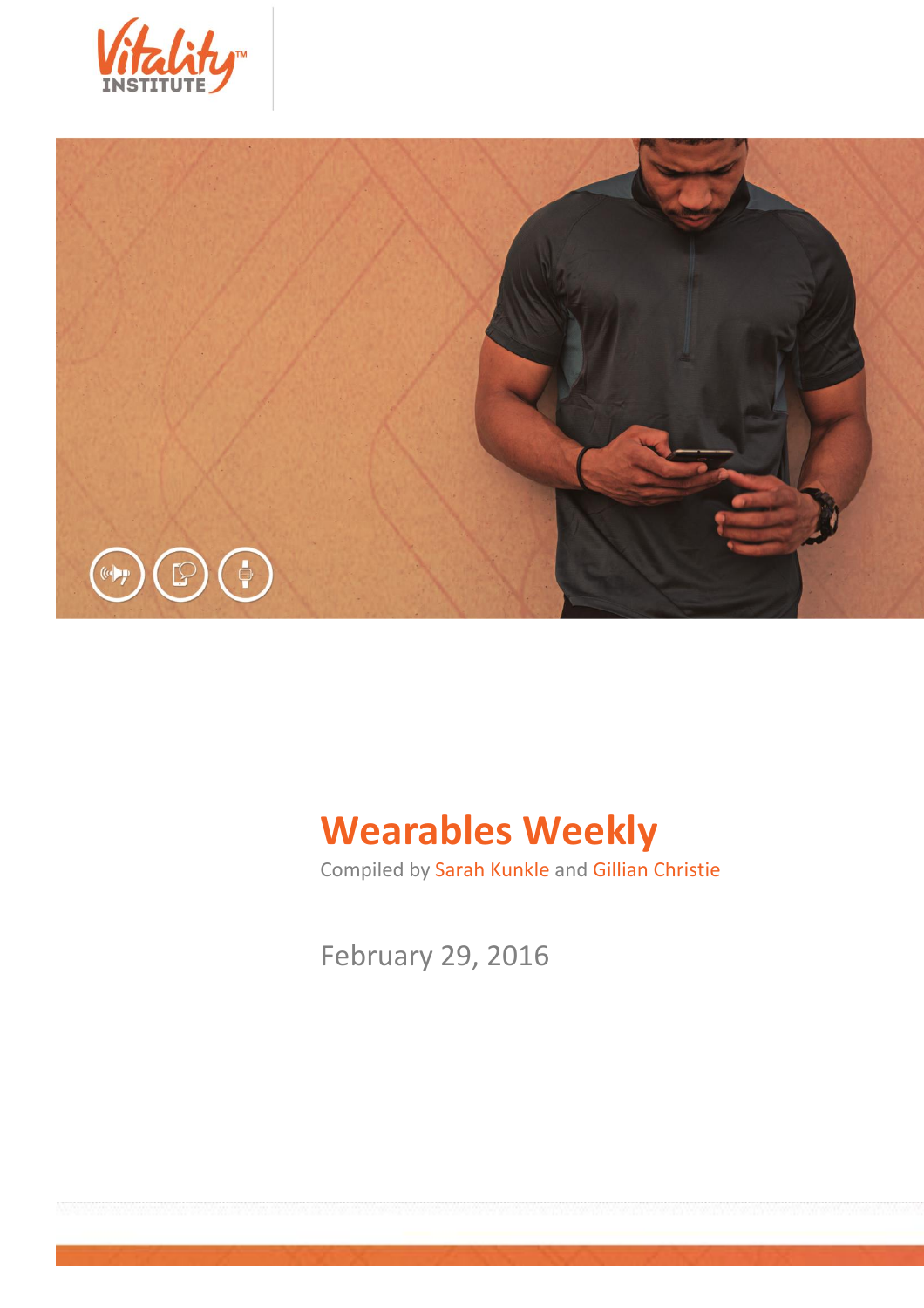



# **Wearables Weekly**

Compiled by Sarah Kunkle and Gillian Christie

February 29, 2016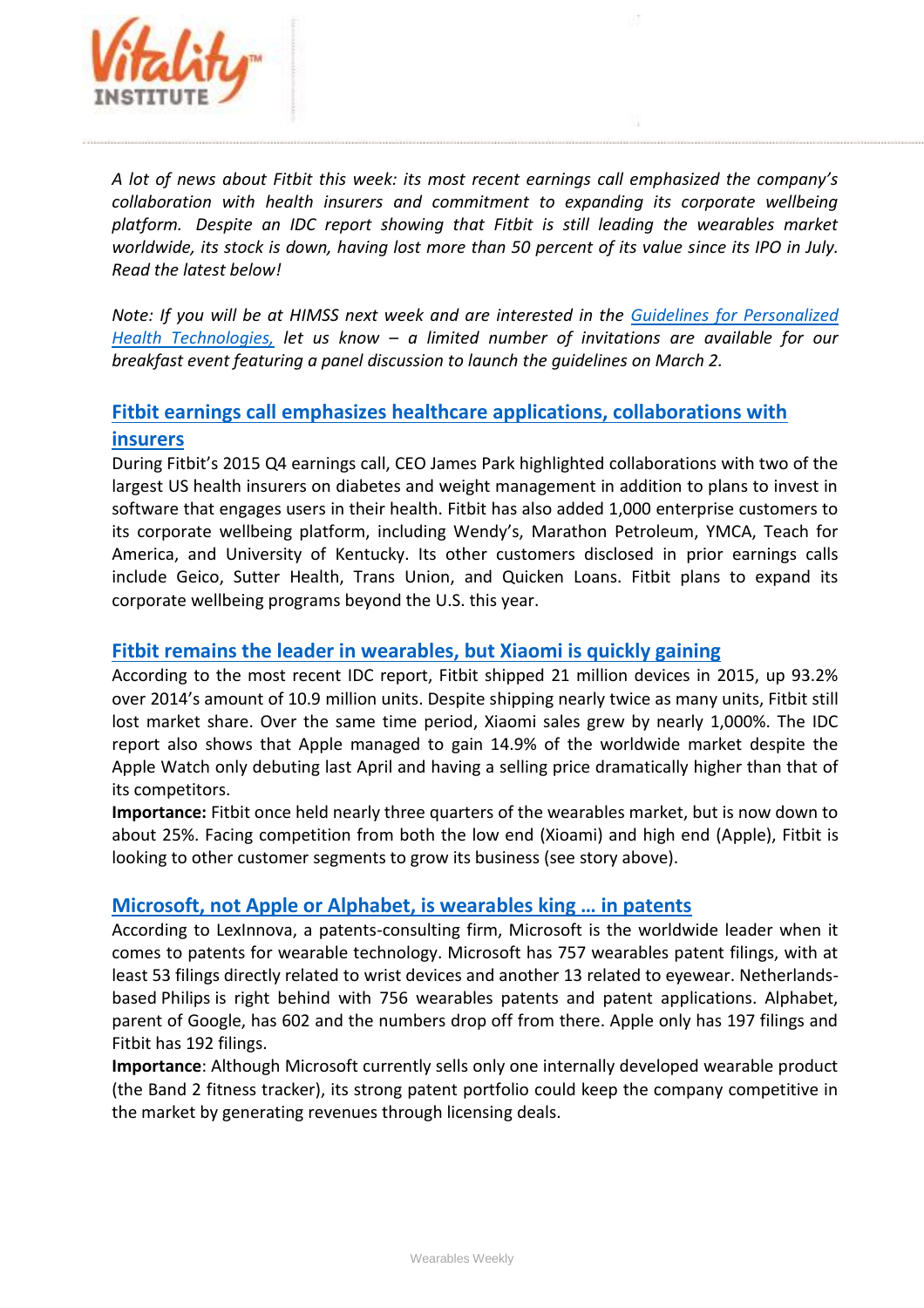

*A lot of news about Fitbit this week: its most recent earnings call emphasized the company's collaboration with health insurers and commitment to expanding its corporate wellbeing platform. Despite an IDC report showing that Fitbit is still leading the wearables market worldwide, its stock is down, having lost more than 50 percent of its value since its IPO in July. Read the latest below!*

*Note: If you will be at HIMSS next week and are interested in the [Guidelines for Personalized](http://thevitalityinstitute.org/projects/personalized-health-technology/)  [Health Technologies,](http://thevitalityinstitute.org/projects/personalized-health-technology/) let us know – a limited number of invitations are available for our breakfast event featuring a panel discussion to launch the guidelines on March 2.*

### **[Fitbit earnings call emphasizes healthcare applications, collaborations with](http://medcitynews.com/2016/02/fitbit-and-healthcare-applications/)  [insurers](http://medcitynews.com/2016/02/fitbit-and-healthcare-applications/)**

During Fitbit's 2015 Q4 earnings call, CEO James Park highlighted collaborations with two of the largest US health insurers on diabetes and weight management in addition to plans to invest in software that engages users in their health. Fitbit has also added 1,000 enterprise customers to its corporate wellbeing platform, including Wendy's, Marathon Petroleum, YMCA, Teach for America, and University of Kentucky. Its other customers disclosed in prior earnings calls include Geico, Sutter Health, Trans Union, and Quicken Loans. Fitbit plans to expand its corporate wellbeing programs beyond the U.S. this year.

#### **[Fitbit remains the leader in wearables, but Xiaomi is quickly gaining](http://techcrunch.com/2016/02/23/fitbit-remains-the-worldwide-leader-in-wearables-but-xiaomi-is-quickly-gaining/)**

According to the most recent IDC report, Fitbit shipped 21 million devices in 2015, up 93.2% over 2014's amount of 10.9 million units. Despite shipping nearly twice as many units, Fitbit still lost market share. Over the same time period, Xiaomi sales grew by nearly 1,000%. The IDC report also shows that Apple managed to gain 14.9% of the worldwide market despite the Apple Watch only debuting last April and having a selling price dramatically higher than that of its competitors.

**Importance:** Fitbit once held nearly three quarters of the wearables market, but is now down to about 25%. Facing competition from both the low end (Xioami) and high end (Apple), Fitbit is looking to other customer segments to grow its business (see story above).

#### **[Microsoft, not Apple or Alphabet, is weara](http://www.investors.com/news/technology/microsoft-not-apple-or-alphabet-is-wearables-king-in-patents/)bles king … in patents**

According to LexInnova, a patents-consulting firm, Microsoft is the worldwide leader when it comes to patents for wearable technology. Microsoft has 757 wearables patent filings, with at least 53 filings directly related to wrist devices and another 13 related to eyewear. Netherlandsbased Philips is right behind with 756 wearables patents and patent applications. Alphabet, parent of Google, has 602 and the numbers drop off from there. Apple only has 197 filings and Fitbit has 192 filings.

**Importance**: Although Microsoft currently sells only one internally developed wearable product (the Band 2 fitness tracker), its strong patent portfolio could keep the company competitive in the market by generating revenues through licensing deals.